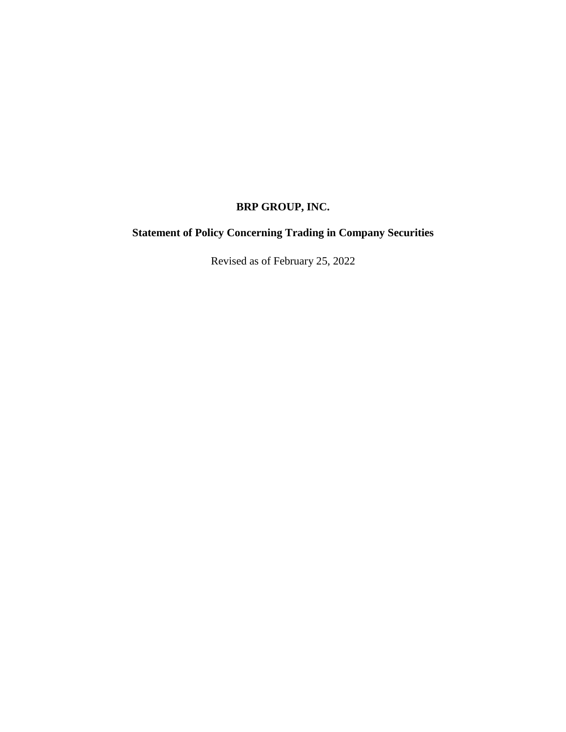# **BRP GROUP, INC.**

# **Statement of Policy Concerning Trading in Company Securities**

Revised as of February 25, 2022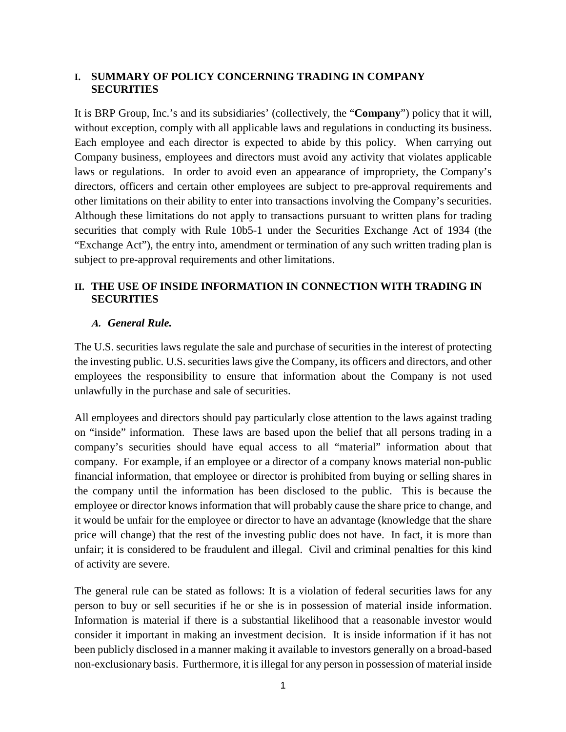#### **I. SUMMARY OF POLICY CONCERNING TRADING IN COMPANY SECURITIES**

It is BRP Group, Inc.'s and its subsidiaries' (collectively, the "**Company**") policy that it will, without exception, comply with all applicable laws and regulations in conducting its business. Each employee and each director is expected to abide by this policy. When carrying out Company business, employees and directors must avoid any activity that violates applicable laws or regulations. In order to avoid even an appearance of impropriety, the Company's directors, officers and certain other employees are subject to pre-approval requirements and other limitations on their ability to enter into transactions involving the Company's securities. Although these limitations do not apply to transactions pursuant to written plans for trading securities that comply with Rule 10b5-1 under the Securities Exchange Act of 1934 (the "Exchange Act"), the entry into, amendment or termination of any such written trading plan is subject to pre-approval requirements and other limitations.

# **II. THE USE OF INSIDE INFORMATION IN CONNECTION WITH TRADING IN SECURITIES**

#### **A.** *General Rule.*

The U.S. securities laws regulate the sale and purchase of securities in the interest of protecting the investing public. U.S. securities laws give the Company, its officers and directors, and other employees the responsibility to ensure that information about the Company is not used unlawfully in the purchase and sale of securities.

All employees and directors should pay particularly close attention to the laws against trading on "inside" information. These laws are based upon the belief that all persons trading in a company's securities should have equal access to all "material" information about that company. For example, if an employee or a director of a company knows material non-public financial information, that employee or director is prohibited from buying or selling shares in the company until the information has been disclosed to the public. This is because the employee or director knows information that will probably cause the share price to change, and it would be unfair for the employee or director to have an advantage (knowledge that the share price will change) that the rest of the investing public does not have. In fact, it is more than unfair; it is considered to be fraudulent and illegal. Civil and criminal penalties for this kind of activity are severe.

The general rule can be stated as follows: It is a violation of federal securities laws for any person to buy or sell securities if he or she is in possession of material inside information. Information is material if there is a substantial likelihood that a reasonable investor would consider it important in making an investment decision. It is inside information if it has not been publicly disclosed in a manner making it available to investors generally on a broad-based non-exclusionary basis. Furthermore, it is illegal for any person in possession of material inside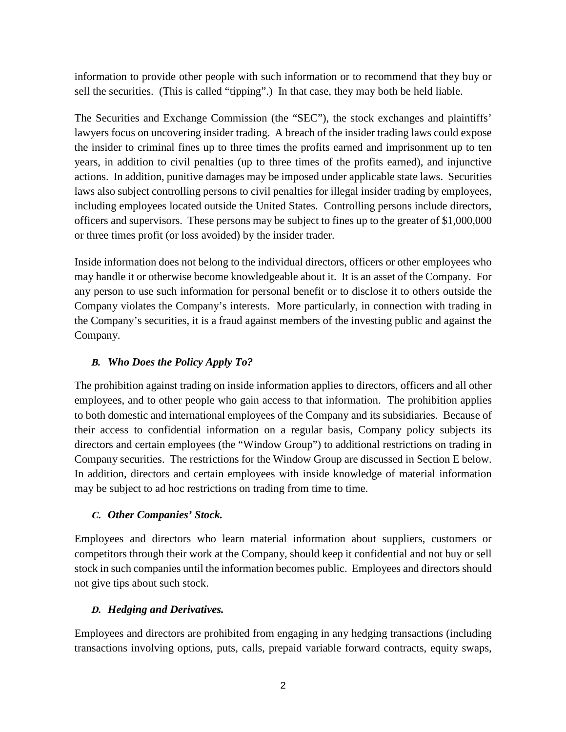information to provide other people with such information or to recommend that they buy or sell the securities. (This is called "tipping".) In that case, they may both be held liable.

The Securities and Exchange Commission (the "SEC"), the stock exchanges and plaintiffs' lawyers focus on uncovering insider trading. A breach of the insider trading laws could expose the insider to criminal fines up to three times the profits earned and imprisonment up to ten years, in addition to civil penalties (up to three times of the profits earned), and injunctive actions. In addition, punitive damages may be imposed under applicable state laws. Securities laws also subject controlling persons to civil penalties for illegal insider trading by employees, including employees located outside the United States. Controlling persons include directors, officers and supervisors. These persons may be subject to fines up to the greater of \$1,000,000 or three times profit (or loss avoided) by the insider trader.

Inside information does not belong to the individual directors, officers or other employees who may handle it or otherwise become knowledgeable about it. It is an asset of the Company. For any person to use such information for personal benefit or to disclose it to others outside the Company violates the Company's interests. More particularly, in connection with trading in the Company's securities, it is a fraud against members of the investing public and against the Company.

# **B.** *Who Does the Policy Apply To?*

The prohibition against trading on inside information applies to directors, officers and all other employees, and to other people who gain access to that information. The prohibition applies to both domestic and international employees of the Company and its subsidiaries. Because of their access to confidential information on a regular basis, Company policy subjects its directors and certain employees (the "Window Group") to additional restrictions on trading in Company securities. The restrictions for the Window Group are discussed in Section E below. In addition, directors and certain employees with inside knowledge of material information may be subject to ad hoc restrictions on trading from time to time.

## **C.** *Other Companies' Stock.*

Employees and directors who learn material information about suppliers, customers or competitors through their work at the Company, should keep it confidential and not buy or sell stock in such companies until the information becomes public. Employees and directors should not give tips about such stock.

## **D.** *Hedging and Derivatives.*

Employees and directors are prohibited from engaging in any hedging transactions (including transactions involving options, puts, calls, prepaid variable forward contracts, equity swaps,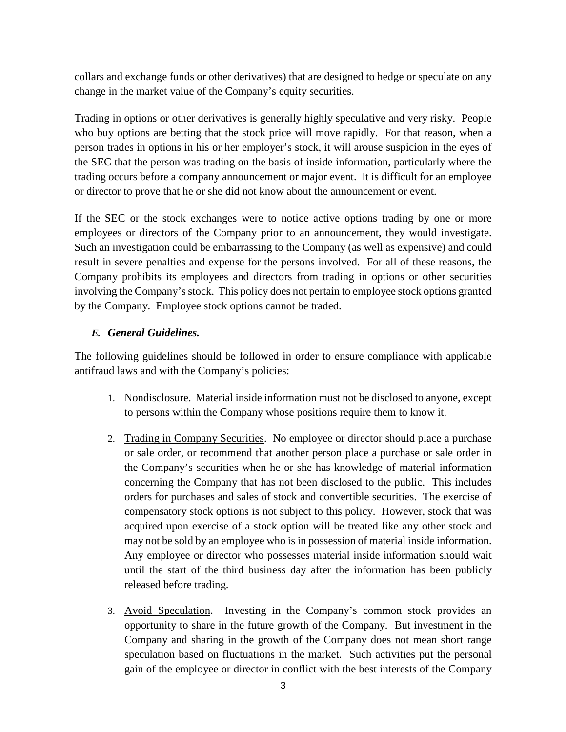collars and exchange funds or other derivatives) that are designed to hedge or speculate on any change in the market value of the Company's equity securities.

Trading in options or other derivatives is generally highly speculative and very risky. People who buy options are betting that the stock price will move rapidly. For that reason, when a person trades in options in his or her employer's stock, it will arouse suspicion in the eyes of the SEC that the person was trading on the basis of inside information, particularly where the trading occurs before a company announcement or major event. It is difficult for an employee or director to prove that he or she did not know about the announcement or event.

If the SEC or the stock exchanges were to notice active options trading by one or more employees or directors of the Company prior to an announcement, they would investigate. Such an investigation could be embarrassing to the Company (as well as expensive) and could result in severe penalties and expense for the persons involved. For all of these reasons, the Company prohibits its employees and directors from trading in options or other securities involving the Company's stock. This policy does not pertain to employee stock options granted by the Company. Employee stock options cannot be traded.

## **E.** *General Guidelines.*

The following guidelines should be followed in order to ensure compliance with applicable antifraud laws and with the Company's policies:

- 1. Nondisclosure. Material inside information must not be disclosed to anyone, except to persons within the Company whose positions require them to know it.
- 2. Trading in Company Securities. No employee or director should place a purchase or sale order, or recommend that another person place a purchase or sale order in the Company's securities when he or she has knowledge of material information concerning the Company that has not been disclosed to the public. This includes orders for purchases and sales of stock and convertible securities. The exercise of compensatory stock options is not subject to this policy. However, stock that was acquired upon exercise of a stock option will be treated like any other stock and may not be sold by an employee who is in possession of material inside information. Any employee or director who possesses material inside information should wait until the start of the third business day after the information has been publicly released before trading.
- 3. Avoid Speculation. Investing in the Company's common stock provides an opportunity to share in the future growth of the Company. But investment in the Company and sharing in the growth of the Company does not mean short range speculation based on fluctuations in the market. Such activities put the personal gain of the employee or director in conflict with the best interests of the Company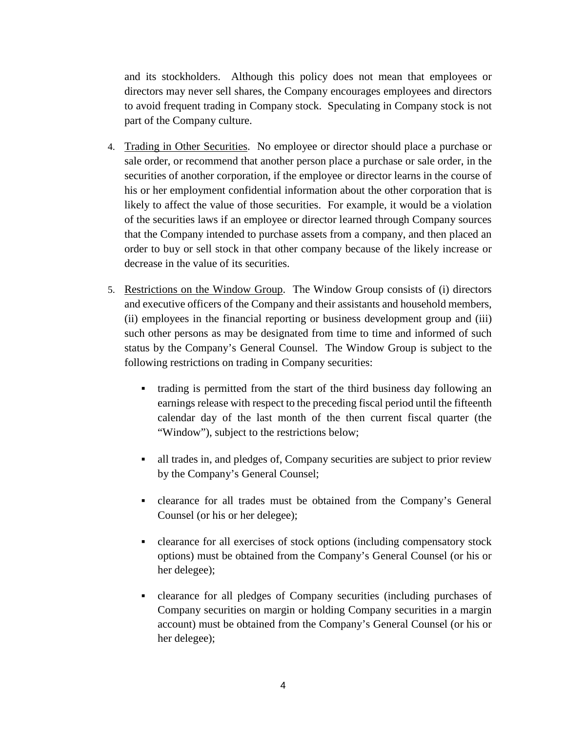and its stockholders. Although this policy does not mean that employees or directors may never sell shares, the Company encourages employees and directors to avoid frequent trading in Company stock. Speculating in Company stock is not part of the Company culture.

- 4. Trading in Other Securities. No employee or director should place a purchase or sale order, or recommend that another person place a purchase or sale order, in the securities of another corporation, if the employee or director learns in the course of his or her employment confidential information about the other corporation that is likely to affect the value of those securities. For example, it would be a violation of the securities laws if an employee or director learned through Company sources that the Company intended to purchase assets from a company, and then placed an order to buy or sell stock in that other company because of the likely increase or decrease in the value of its securities.
- 5. Restrictions on the Window Group. The Window Group consists of (i) directors and executive officers of the Company and their assistants and household members, (ii) employees in the financial reporting or business development group and (iii) such other persons as may be designated from time to time and informed of such status by the Company's General Counsel. The Window Group is subject to the following restrictions on trading in Company securities:
	- trading is permitted from the start of the third business day following an earnings release with respect to the preceding fiscal period until the fifteenth calendar day of the last month of the then current fiscal quarter (the "Window"), subject to the restrictions below;
	- all trades in, and pledges of, Company securities are subject to prior review by the Company's General Counsel;
	- clearance for all trades must be obtained from the Company's General Counsel (or his or her delegee);
	- clearance for all exercises of stock options (including compensatory stock options) must be obtained from the Company's General Counsel (or his or her delegee);
	- clearance for all pledges of Company securities (including purchases of Company securities on margin or holding Company securities in a margin account) must be obtained from the Company's General Counsel (or his or her delegee);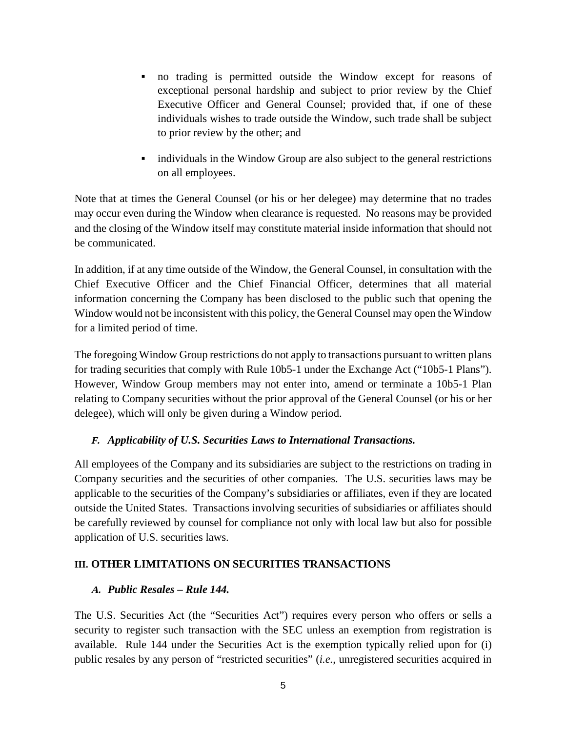- no trading is permitted outside the Window except for reasons of exceptional personal hardship and subject to prior review by the Chief Executive Officer and General Counsel; provided that, if one of these individuals wishes to trade outside the Window, such trade shall be subject to prior review by the other; and
- individuals in the Window Group are also subject to the general restrictions on all employees.

Note that at times the General Counsel (or his or her delegee) may determine that no trades may occur even during the Window when clearance is requested. No reasons may be provided and the closing of the Window itself may constitute material inside information that should not be communicated.

In addition, if at any time outside of the Window, the General Counsel, in consultation with the Chief Executive Officer and the Chief Financial Officer, determines that all material information concerning the Company has been disclosed to the public such that opening the Window would not be inconsistent with this policy, the General Counsel may open the Window for a limited period of time.

The foregoing Window Group restrictions do not apply to transactions pursuant to written plans for trading securities that comply with Rule 10b5-1 under the Exchange Act ("10b5-1 Plans"). However, Window Group members may not enter into, amend or terminate a 10b5-1 Plan relating to Company securities without the prior approval of the General Counsel (or his or her delegee), which will only be given during a Window period.

## **F.** *Applicability of U.S. Securities Laws to International Transactions.*

All employees of the Company and its subsidiaries are subject to the restrictions on trading in Company securities and the securities of other companies. The U.S. securities laws may be applicable to the securities of the Company's subsidiaries or affiliates, even if they are located outside the United States. Transactions involving securities of subsidiaries or affiliates should be carefully reviewed by counsel for compliance not only with local law but also for possible application of U.S. securities laws.

## **III. OTHER LIMITATIONS ON SECURITIES TRANSACTIONS**

## **A.** *Public Resales – Rule 144.*

The U.S. Securities Act (the "Securities Act") requires every person who offers or sells a security to register such transaction with the SEC unless an exemption from registration is available. Rule 144 under the Securities Act is the exemption typically relied upon for (i) public resales by any person of "restricted securities" (*i.e.*, unregistered securities acquired in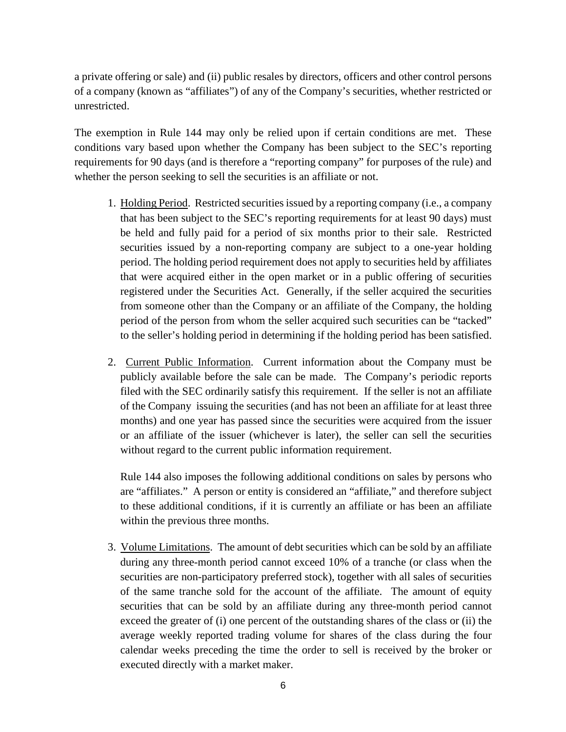a private offering or sale) and (ii) public resales by directors, officers and other control persons of a company (known as "affiliates") of any of the Company's securities, whether restricted or unrestricted.

The exemption in Rule 144 may only be relied upon if certain conditions are met. These conditions vary based upon whether the Company has been subject to the SEC's reporting requirements for 90 days (and is therefore a "reporting company" for purposes of the rule) and whether the person seeking to sell the securities is an affiliate or not.

- 1. Holding Period. Restricted securities issued by a reporting company (i.e., a company that has been subject to the SEC's reporting requirements for at least 90 days) must be held and fully paid for a period of six months prior to their sale. Restricted securities issued by a non-reporting company are subject to a one-year holding period. The holding period requirement does not apply to securities held by affiliates that were acquired either in the open market or in a public offering of securities registered under the Securities Act. Generally, if the seller acquired the securities from someone other than the Company or an affiliate of the Company, the holding period of the person from whom the seller acquired such securities can be "tacked" to the seller's holding period in determining if the holding period has been satisfied.
- 2. Current Public Information. Current information about the Company must be publicly available before the sale can be made. The Company's periodic reports filed with the SEC ordinarily satisfy this requirement. If the seller is not an affiliate of the Company issuing the securities (and has not been an affiliate for at least three months) and one year has passed since the securities were acquired from the issuer or an affiliate of the issuer (whichever is later), the seller can sell the securities without regard to the current public information requirement.

Rule 144 also imposes the following additional conditions on sales by persons who are "affiliates." A person or entity is considered an "affiliate," and therefore subject to these additional conditions, if it is currently an affiliate or has been an affiliate within the previous three months.

3. Volume Limitations. The amount of debt securities which can be sold by an affiliate during any three-month period cannot exceed 10% of a tranche (or class when the securities are non-participatory preferred stock), together with all sales of securities of the same tranche sold for the account of the affiliate. The amount of equity securities that can be sold by an affiliate during any three-month period cannot exceed the greater of (i) one percent of the outstanding shares of the class or (ii) the average weekly reported trading volume for shares of the class during the four calendar weeks preceding the time the order to sell is received by the broker or executed directly with a market maker.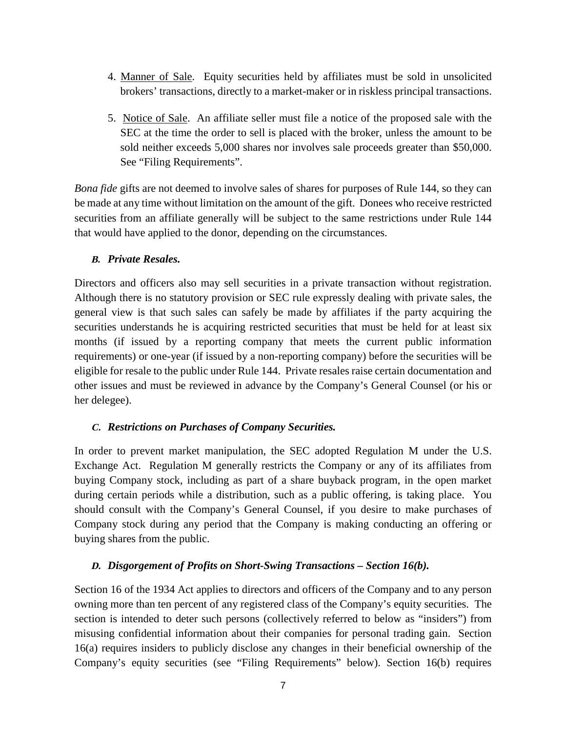- 4. Manner of Sale. Equity securities held by affiliates must be sold in unsolicited brokers' transactions, directly to a market-maker or in riskless principal transactions.
- 5. Notice of Sale. An affiliate seller must file a notice of the proposed sale with the SEC at the time the order to sell is placed with the broker, unless the amount to be sold neither exceeds 5,000 shares nor involves sale proceeds greater than \$50,000. See "Filing Requirements".

*Bona fide* gifts are not deemed to involve sales of shares for purposes of Rule 144, so they can be made at any time without limitation on the amount of the gift. Donees who receive restricted securities from an affiliate generally will be subject to the same restrictions under Rule 144 that would have applied to the donor, depending on the circumstances.

#### **B.** *Private Resales.*

Directors and officers also may sell securities in a private transaction without registration. Although there is no statutory provision or SEC rule expressly dealing with private sales, the general view is that such sales can safely be made by affiliates if the party acquiring the securities understands he is acquiring restricted securities that must be held for at least six months (if issued by a reporting company that meets the current public information requirements) or one-year (if issued by a non-reporting company) before the securities will be eligible for resale to the public under Rule 144. Private resales raise certain documentation and other issues and must be reviewed in advance by the Company's General Counsel (or his or her delegee).

#### **C.** *Restrictions on Purchases of Company Securities.*

In order to prevent market manipulation, the SEC adopted Regulation M under the U.S. Exchange Act. Regulation M generally restricts the Company or any of its affiliates from buying Company stock, including as part of a share buyback program, in the open market during certain periods while a distribution, such as a public offering, is taking place. You should consult with the Company's General Counsel, if you desire to make purchases of Company stock during any period that the Company is making conducting an offering or buying shares from the public.

## **D.** *Disgorgement of Profits on Short-Swing Transactions – Section 16(b).*

Section 16 of the 1934 Act applies to directors and officers of the Company and to any person owning more than ten percent of any registered class of the Company's equity securities. The section is intended to deter such persons (collectively referred to below as "insiders") from misusing confidential information about their companies for personal trading gain. Section 16(a) requires insiders to publicly disclose any changes in their beneficial ownership of the Company's equity securities (see "Filing Requirements" below). Section 16(b) requires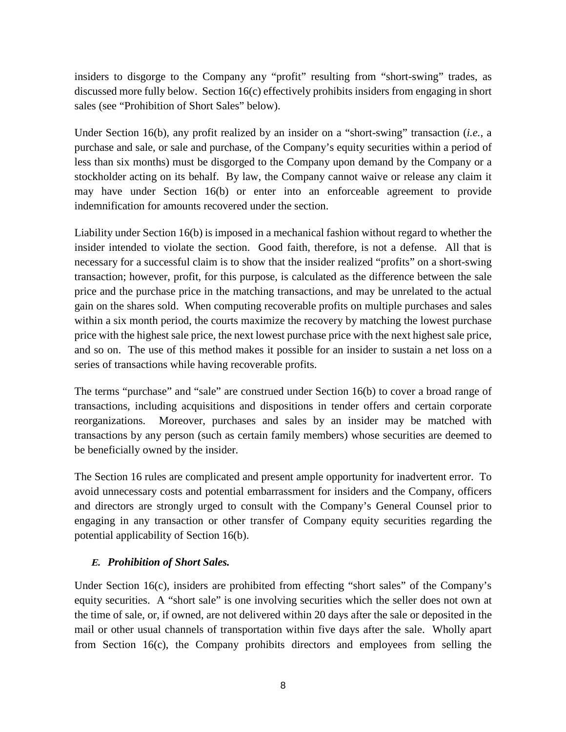insiders to disgorge to the Company any "profit" resulting from "short-swing" trades, as discussed more fully below. Section 16(c) effectively prohibits insiders from engaging in short sales (see "Prohibition of Short Sales" below).

Under Section 16(b), any profit realized by an insider on a "short-swing" transaction (*i.e.*, a purchase and sale, or sale and purchase, of the Company's equity securities within a period of less than six months) must be disgorged to the Company upon demand by the Company or a stockholder acting on its behalf. By law, the Company cannot waive or release any claim it may have under Section 16(b) or enter into an enforceable agreement to provide indemnification for amounts recovered under the section.

Liability under Section 16(b) is imposed in a mechanical fashion without regard to whether the insider intended to violate the section. Good faith, therefore, is not a defense. All that is necessary for a successful claim is to show that the insider realized "profits" on a short-swing transaction; however, profit, for this purpose, is calculated as the difference between the sale price and the purchase price in the matching transactions, and may be unrelated to the actual gain on the shares sold. When computing recoverable profits on multiple purchases and sales within a six month period, the courts maximize the recovery by matching the lowest purchase price with the highest sale price, the next lowest purchase price with the next highest sale price, and so on. The use of this method makes it possible for an insider to sustain a net loss on a series of transactions while having recoverable profits.

The terms "purchase" and "sale" are construed under Section 16(b) to cover a broad range of transactions, including acquisitions and dispositions in tender offers and certain corporate reorganizations. Moreover, purchases and sales by an insider may be matched with transactions by any person (such as certain family members) whose securities are deemed to be beneficially owned by the insider.

The Section 16 rules are complicated and present ample opportunity for inadvertent error. To avoid unnecessary costs and potential embarrassment for insiders and the Company, officers and directors are strongly urged to consult with the Company's General Counsel prior to engaging in any transaction or other transfer of Company equity securities regarding the potential applicability of Section 16(b).

## **E.** *Prohibition of Short Sales.*

Under Section 16(c), insiders are prohibited from effecting "short sales" of the Company's equity securities. A "short sale" is one involving securities which the seller does not own at the time of sale, or, if owned, are not delivered within 20 days after the sale or deposited in the mail or other usual channels of transportation within five days after the sale. Wholly apart from Section 16(c), the Company prohibits directors and employees from selling the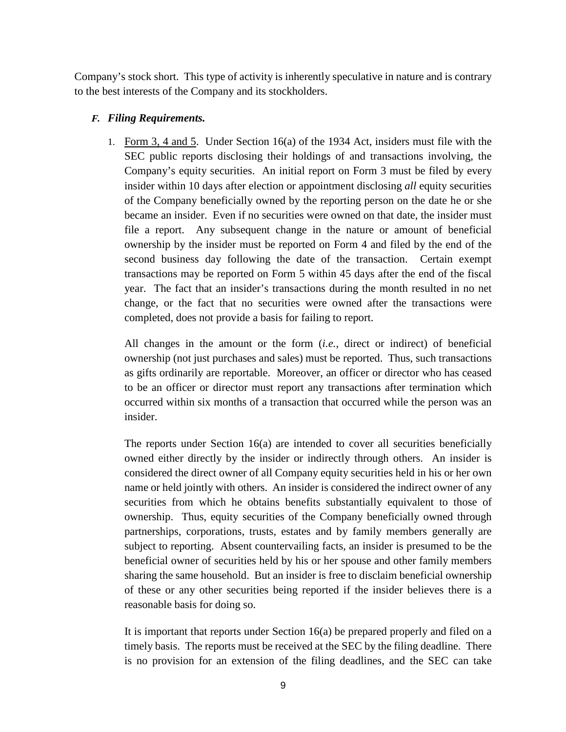Company's stock short. This type of activity is inherently speculative in nature and is contrary to the best interests of the Company and its stockholders.

## **F.** *Filing Requirements.*

1. Form 3, 4 and 5. Under Section 16(a) of the 1934 Act, insiders must file with the SEC public reports disclosing their holdings of and transactions involving, the Company's equity securities. An initial report on Form 3 must be filed by every insider within 10 days after election or appointment disclosing *all* equity securities of the Company beneficially owned by the reporting person on the date he or she became an insider. Even if no securities were owned on that date, the insider must file a report. Any subsequent change in the nature or amount of beneficial ownership by the insider must be reported on Form 4 and filed by the end of the second business day following the date of the transaction. Certain exempt transactions may be reported on Form 5 within 45 days after the end of the fiscal year. The fact that an insider's transactions during the month resulted in no net change, or the fact that no securities were owned after the transactions were completed, does not provide a basis for failing to report.

All changes in the amount or the form (*i.e.,* direct or indirect) of beneficial ownership (not just purchases and sales) must be reported. Thus, such transactions as gifts ordinarily are reportable. Moreover, an officer or director who has ceased to be an officer or director must report any transactions after termination which occurred within six months of a transaction that occurred while the person was an insider.

The reports under Section 16(a) are intended to cover all securities beneficially owned either directly by the insider or indirectly through others. An insider is considered the direct owner of all Company equity securities held in his or her own name or held jointly with others. An insider is considered the indirect owner of any securities from which he obtains benefits substantially equivalent to those of ownership. Thus, equity securities of the Company beneficially owned through partnerships, corporations, trusts, estates and by family members generally are subject to reporting. Absent countervailing facts, an insider is presumed to be the beneficial owner of securities held by his or her spouse and other family members sharing the same household. But an insider is free to disclaim beneficial ownership of these or any other securities being reported if the insider believes there is a reasonable basis for doing so.

It is important that reports under Section 16(a) be prepared properly and filed on a timely basis. The reports must be received at the SEC by the filing deadline. There is no provision for an extension of the filing deadlines, and the SEC can take